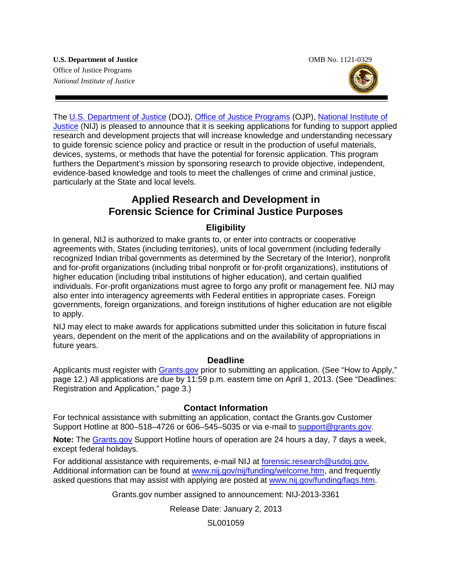

The [U.S. Department of Justice](http://www.usdoj.gov/) (DOJ), [Office of Justice Programs](http://www.ojp.usdoj.gov/) (OJP), [National Institute of](http://www.nij.gov/)  [Justice](http://www.nij.gov/) (NIJ) is pleased to announce that it is seeking applications for funding to support applied research and development projects that will increase knowledge and understanding necessary to guide forensic science policy and practice or result in the production of useful materials, devices, systems, or methods that have the potential for forensic application. This program furthers the Department's mission by sponsoring research to provide objective, independent, evidence-based knowledge and tools to meet the challenges of crime and criminal justice, particularly at the State and local levels.

### **Applied Research and Development in Forensic Science for Criminal Justice Purposes**

#### **Eligibility**

In general, NIJ is authorized to make grants to, or enter into contracts or cooperative agreements with, States (including territories), units of local government (including federally recognized Indian tribal governments as determined by the Secretary of the Interior), nonprofit and for-profit organizations (including tribal nonprofit or for-profit organizations), institutions of higher education (including tribal institutions of higher education), and certain qualified individuals. For-profit organizations must agree to forgo any profit or management fee. NIJ may also enter into interagency agreements with Federal entities in appropriate cases. Foreign governments, foreign organizations, and foreign institutions of higher education are not eligible to apply.

NIJ may elect to make awards for applications submitted under this solicitation in future fiscal years, dependent on the merit of the applications and on the availability of appropriations in future years.

#### **Deadline**

Applicants must register with [Grants.gov](http://www.grants.gov/applicants/apply_for_grants.jsp) prior to submitting an application. (See "How to Apply," page 12.) All applications are due by 11:59 p.m. eastern time on April 1, 2013. (See "Deadlines: Registration and Application," page 3.)

#### **Contact Information**

For technical assistance with submitting an application, contact the Grants.gov Customer Support Hotline at 800–518–4726 or 606–545–5035 or via e-mail to [support@grants.gov.](mailto:support@grants.gov)

**Note:** The [Grants.gov](http://www.grants.gov/applicants/apply_for_grants.jsp) Support Hotline hours of operation are 24 hours a day, 7 days a week, except federal holidays*.*

For additional assistance with requirements, e-mail NIJ at [forensic.research@usdoj.gov.](mailto:forensic.research@usdoj.gov) Additional information can be found at [www.nij.gov/nij/funding/welcome.htm,](http://www.nij.gov/nij/funding/welcome.htm) and frequently asked questions that may assist with applying are posted at [www.nij.gov/funding/faqs.htm.](http://www.nij.gov/funding/faqs.htm)

Grants.gov number assigned to announcement: NIJ-2013-3361

Release Date: January 2, 2013

SL001059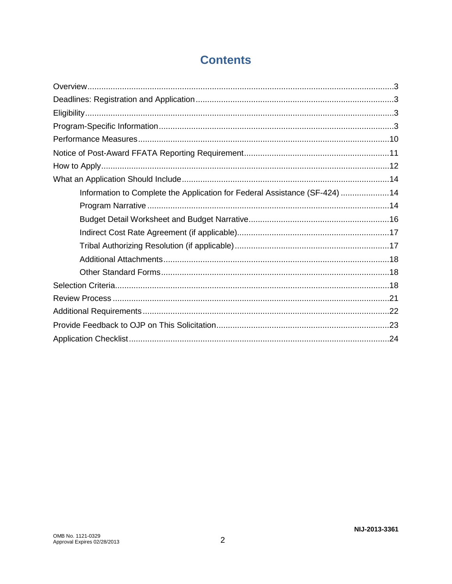# **Contents**

| Information to Complete the Application for Federal Assistance (SF-424) 14 |  |
|----------------------------------------------------------------------------|--|
|                                                                            |  |
|                                                                            |  |
|                                                                            |  |
|                                                                            |  |
|                                                                            |  |
|                                                                            |  |
|                                                                            |  |
|                                                                            |  |
|                                                                            |  |
|                                                                            |  |
|                                                                            |  |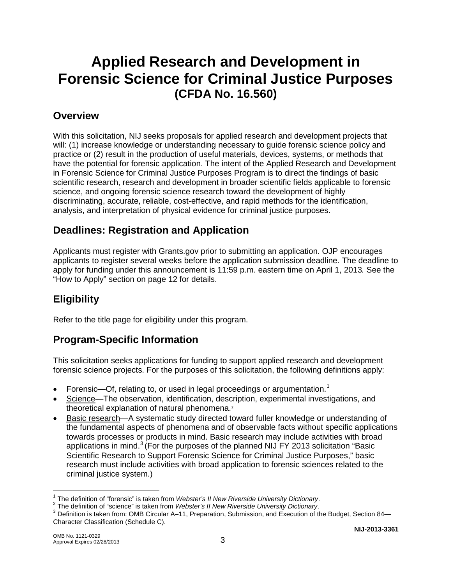# **Applied Research and Development in Forensic Science for Criminal Justice Purposes (CFDA No. 16.560)**

### **Overview**

With this solicitation, NIJ seeks proposals for applied research and development projects that will: (1) increase knowledge or understanding necessary to guide forensic science policy and practice or (2) result in the production of useful materials, devices, systems, or methods that have the potential for forensic application. The intent of the Applied Research and Development in Forensic Science for Criminal Justice Purposes Program is to direct the findings of basic scientific research, research and development in broader scientific fields applicable to forensic science, and ongoing forensic science research toward the development of highly discriminating, accurate, reliable, cost-effective, and rapid methods for the identification, analysis, and interpretation of physical evidence for criminal justice purposes.

### **Deadlines: Registration and Application**

Applicants must register with Grants.gov prior to submitting an application. OJP encourages applicants to register several weeks before the application submission deadline. The deadline to apply for funding under this announcement is 11:59 p.m. eastern time on April 1, 2013*.* See the "How to Apply" section on page 12 for details.

## **Eligibility**

Refer to the title page for eligibility under this program.

### **Program-Specific Information**

This solicitation seeks applications for funding to support applied research and development forensic science projects. For the purposes of this solicitation, the following definitions apply:

- Forensic—Of, relating to, or used in legal proceedings or argumentation.<sup>[1](#page-2-0)</sup>
- Science—The observation, identification, description, experimental investigations, and theoretical explanation of natural phenomena.<sup>[2](#page-2-1)</sup>
- Basic research—A systematic study directed toward fuller knowledge or understanding of the fundamental aspects of phenomena and of observable facts without specific applications towards processes or products in mind. Basic research may include activities with broad applications in mind.<sup>[3](#page-2-2)</sup> (For the purposes of the planned NIJ FY 2013 solicitation "Basic Scientific Research to Support Forensic Science for Criminal Justice Purposes," basic research must include activities with broad application to forensic sciences related to the criminal justice system.)

<span id="page-2-2"></span><span id="page-2-1"></span>

<span id="page-2-0"></span><sup>&</sup>lt;sup>1</sup> The definition of "forensic" is taken from Webster's II New Riverside University Dictionary.<br>
<sup>2</sup> The definition of "science" is taken from Webster's II New Riverside University Dictionary.<br>
<sup>3</sup> Definition is taken fr Character Classification (Schedule C).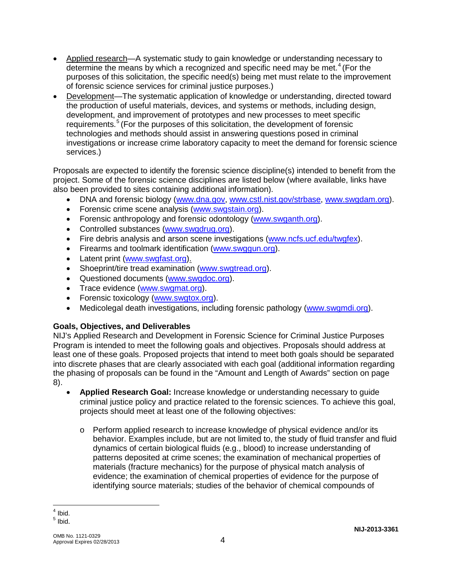- Applied research—A systematic study to gain knowledge or understanding necessary to determine the means by which a recognized and specific need may be met.<sup>[4](#page-3-0)</sup> (For the purposes of this solicitation, the specific need(s) being met must relate to the improvement of forensic science services for criminal justice purposes.)
- Development—The systematic application of knowledge or understanding, directed toward the production of useful materials, devices, and systems or methods, including design, development, and improvement of prototypes and new processes to meet specific requirements.<sup>[5](#page-3-1)</sup> (For the purposes of this solicitation, the development of forensic technologies and methods should assist in answering questions posed in criminal investigations or increase crime laboratory capacity to meet the demand for forensic science services.)

Proposals are expected to identify the forensic science discipline(s) intended to benefit from the project. Some of the forensic science disciplines are listed below (where available, links have also been provided to sites containing additional information).

- DNA and forensic biology [\(www.dna.gov,](http://www.dna.gov/) [www.cstl.nist.gov/strbase,](http://www.cstl.nist.gov/strbase/) [www.swgdam.org\)](http://www.swgdam.org/).
- Forensic crime scene analysis [\(www.swgstain.org\)](http://www.swgstain.org/).
- Forensic anthropology and forensic odontology [\(www.swganth.org\)](http://www.swganth.org/).
- Controlled substances [\(www.swgdrug.org\)](http://www.swgdrug.org/).
- Fire debris analysis and arson scene investigations [\(www.ncfs.ucf.edu/twgfex\)](http://www.ncfs.ucf.edu/twgfex).
- Firearms and toolmark identification [\(www.swggun.org\)](http://www.swggun.org/).
- Latent print [\(www.swgfast.org\)](http://www.swgfast.org/).
- Shoeprint/tire tread examination [\(www.swgtread.org\)](http://www.swgtread.org/).
- Questioned documents [\(www.swgdoc.org\)](http://www.swgdoc.org/).
- Trace evidence [\(www.swgmat.org\)](http://www.swgmat.org/).
- Forensic toxicology [\(www.swgtox.org\)](http://www.swgtox.org/).
- Medicolegal death investigations, including forensic pathology [\(www.swgmdi.org\)](http://www.swgmdi.org/).

#### **Goals, Objectives, and Deliverables**

NIJ's Applied Research and Development in Forensic Science for Criminal Justice Purposes Program is intended to meet the following goals and objectives. Proposals should address at least one of these goals. Proposed projects that intend to meet both goals should be separated into discrete phases that are clearly associated with each goal (additional information regarding the phasing of proposals can be found in the "Amount and Length of Awards" section on page 8).

- **Applied Research Goal:** Increase knowledge or understanding necessary to guide criminal justice policy and practice related to the forensic sciences. To achieve this goal, projects should meet at least one of the following objectives:
	- o Perform applied research to increase knowledge of physical evidence and/or its behavior. Examples include, but are not limited to, the study of fluid transfer and fluid dynamics of certain biological fluids (e.g., blood) to increase understanding of patterns deposited at crime scenes; the examination of mechanical properties of materials (fracture mechanics) for the purpose of physical match analysis of evidence; the examination of chemical properties of evidence for the purpose of identifying source materials; studies of the behavior of chemical compounds of

 $<sup>4</sup>$  Ibid.</sup>

<span id="page-3-1"></span><span id="page-3-0"></span> $<sup>5</sup>$  Ibid.</sup>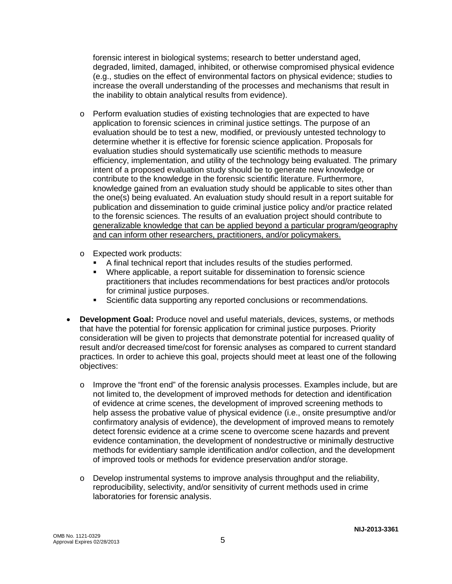forensic interest in biological systems; research to better understand aged, degraded, limited, damaged, inhibited, or otherwise compromised physical evidence (e.g., studies on the effect of environmental factors on physical evidence; studies to increase the overall understanding of the processes and mechanisms that result in the inability to obtain analytical results from evidence).

- o Perform evaluation studies of existing technologies that are expected to have application to forensic sciences in criminal justice settings. The purpose of an evaluation should be to test a new, modified, or previously untested technology to determine whether it is effective for forensic science application. Proposals for evaluation studies should systematically use scientific methods to measure efficiency, implementation, and utility of the technology being evaluated. The primary intent of a proposed evaluation study should be to generate new knowledge or contribute to the knowledge in the forensic scientific literature. Furthermore, knowledge gained from an evaluation study should be applicable to sites other than the one(s) being evaluated. An evaluation study should result in a report suitable for publication and dissemination to guide criminal justice policy and/or practice related to the forensic sciences. The results of an evaluation project should contribute to generalizable knowledge that can be applied beyond a particular program/geography and can inform other researchers, practitioners, and/or policymakers.
- o Expected work products:
	- A final technical report that includes results of the studies performed.<br>Where applicable, a report suitable for dissemination to forensic scier
	- Where applicable, a report suitable for dissemination to forensic science practitioners that includes recommendations for best practices and/or protocols for criminal justice purposes.
	- **Scientific data supporting any reported conclusions or recommendations.**
- **Development Goal:** Produce novel and useful materials, devices, systems, or methods that have the potential for forensic application for criminal justice purposes. Priority consideration will be given to projects that demonstrate potential for increased quality of result and/or decreased time/cost for forensic analyses as compared to current standard practices. In order to achieve this goal, projects should meet at least one of the following objectives:
	- $\circ$  Improve the "front end" of the forensic analysis processes. Examples include, but are not limited to, the development of improved methods for detection and identification of evidence at crime scenes, the development of improved screening methods to help assess the probative value of physical evidence (i.e., onsite presumptive and/or confirmatory analysis of evidence), the development of improved means to remotely detect forensic evidence at a crime scene to overcome scene hazards and prevent evidence contamination, the development of nondestructive or minimally destructive methods for evidentiary sample identification and/or collection, and the development of improved tools or methods for evidence preservation and/or storage.
	- $\circ$  Develop instrumental systems to improve analysis throughput and the reliability, reproducibility, selectivity, and/or sensitivity of current methods used in crime laboratories for forensic analysis.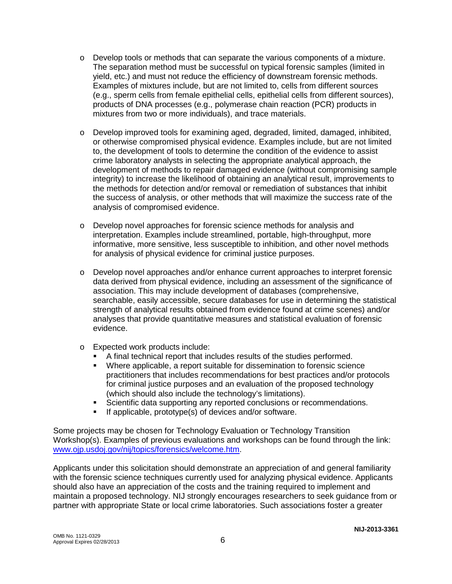- $\circ$  Develop tools or methods that can separate the various components of a mixture. The separation method must be successful on typical forensic samples (limited in yield, etc.) and must not reduce the efficiency of downstream forensic methods. Examples of mixtures include, but are not limited to, cells from different sources (e.g., sperm cells from female epithelial cells, epithelial cells from different sources), products of DNA processes (e.g., polymerase chain reaction (PCR) products in mixtures from two or more individuals), and trace materials.
- o Develop improved tools for examining aged, degraded, limited, damaged, inhibited, or otherwise compromised physical evidence. Examples include, but are not limited to, the development of tools to determine the condition of the evidence to assist crime laboratory analysts in selecting the appropriate analytical approach, the development of methods to repair damaged evidence (without compromising sample integrity) to increase the likelihood of obtaining an analytical result, improvements to the methods for detection and/or removal or remediation of substances that inhibit the success of analysis, or other methods that will maximize the success rate of the analysis of compromised evidence.
- o Develop novel approaches for forensic science methods for analysis and interpretation. Examples include streamlined, portable, high-throughput, more informative, more sensitive, less susceptible to inhibition, and other novel methods for analysis of physical evidence for criminal justice purposes.
- o Develop novel approaches and/or enhance current approaches to interpret forensic data derived from physical evidence, including an assessment of the significance of association. This may include development of databases (comprehensive, searchable, easily accessible, secure databases for use in determining the statistical strength of analytical results obtained from evidence found at crime scenes) and/or analyses that provide quantitative measures and statistical evaluation of forensic evidence.
- o Expected work products include:
	- A final technical report that includes results of the studies performed.<br>Where applicable, a report suitable for dissemination to forensic sciency
	- Where applicable, a report suitable for dissemination to forensic science practitioners that includes recommendations for best practices and/or protocols for criminal justice purposes and an evaluation of the proposed technology (which should also include the technology's limitations).
	- Scientific data supporting any reported conclusions or recommendations.
	- **If applicable, prototype(s) of devices and/or software.**

Some projects may be chosen for Technology Evaluation or Technology Transition Workshop(s). Examples of previous evaluations and workshops can be found through the link: [www.ojp.usdoj.gov/nij/topics/forensics/welcome.htm.](http://www.ojp.usdoj.gov/nij/topics/forensics/welcome.htm)

Applicants under this solicitation should demonstrate an appreciation of and general familiarity with the forensic science techniques currently used for analyzing physical evidence. Applicants should also have an appreciation of the costs and the training required to implement and maintain a proposed technology. NIJ strongly encourages researchers to seek guidance from or partner with appropriate State or local crime laboratories. Such associations foster a greater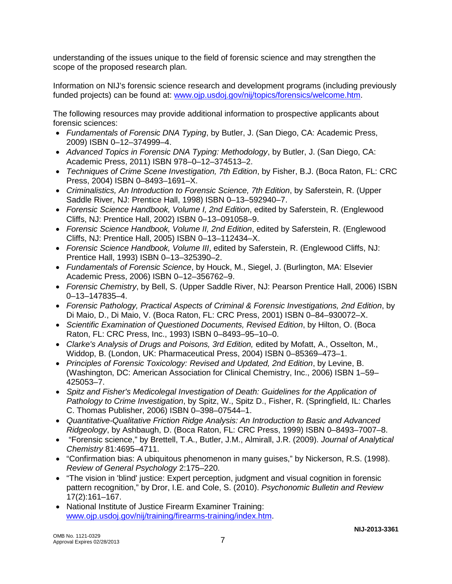understanding of the issues unique to the field of forensic science and may strengthen the scope of the proposed research plan.

Information on NIJ's forensic science research and development programs (including previously funded projects) can be found at: [www.ojp.usdoj.gov/nij/topics/forensics/welcome.htm.](http://www.ojp.usdoj.gov/nij/topics/forensics/welcome.htm)

The following resources may provide additional information to prospective applicants about forensic sciences:

- *Fundamentals of Forensic DNA Typing*, by Butler, J. (San Diego, CA: Academic Press, 2009) ISBN 0–12–374999–4.
- *Advanced Topics in Forensic DNA Typing: Methodology*, by Butler, J. (San Diego, CA: Academic Press, 2011) ISBN 978–0–12–374513–2.
- *Techniques of Crime Scene Investigation, 7th Edition*, by Fisher, B.J. (Boca Raton, FL: CRC Press, 2004) ISBN 0–8493–1691–X.
- *Criminalistics, An Introduction to Forensic Science, 7th Edition*, by Saferstein, R. (Upper Saddle River, NJ: Prentice Hall, 1998) ISBN 0–13–592940–7.
- *Forensic Science Handbook, Volume I, 2nd Edition*, edited by Saferstein, R. (Englewood Cliffs, NJ: Prentice Hall, 2002) ISBN 0–13–091058–9.
- *Forensic Science Handbook, Volume II, 2nd Edition*, edited by Saferstein, R. (Englewood Cliffs, NJ: Prentice Hall, 2005) ISBN 0–13–112434–X.
- *Forensic Science Handbook, Volume III*, edited by Saferstein, R. (Englewood Cliffs, NJ: Prentice Hall, 1993) ISBN 0–13–325390–2.
- *Fundamentals of Forensic Science*, by Houck, M., Siegel, J. (Burlington, MA: Elsevier Academic Press, 2006) ISBN 0–12–356762–9.
- *Forensic Chemistry*, by Bell, S. (Upper Saddle River, NJ: Pearson Prentice Hall, 2006) ISBN 0–13–147835–4.
- *Forensic Pathology, Practical Aspects of Criminal & Forensic Investigations, 2nd Edition*, by Di Maio, D., Di Maio, V. (Boca Raton, FL: CRC Press, 2001) ISBN 0–84–930072–X.
- *Scientific Examination of Questioned Documents, Revised Edition*, by Hilton, O. (Boca Raton, FL: CRC Press, Inc., 1993) ISBN 0–8493–95–10–0.
- Clarke's Analysis of Drugs and Poisons, 3rd Edition, edited by Mofatt, A., Osselton, M., Widdop, B. (London, UK: Pharmaceutical Press, 2004) ISBN 0–85369–473–1.
- *Principles of Forensic Toxicology: Revised and Updated, 2nd Edition*, by Levine, B. (Washington, DC: American Association for Clinical Chemistry, Inc., 2006) ISBN 1–59– 425053–7.
- *Spitz and Fisher's Medicolegal Investigation of Death: Guidelines for the Application of Pathology to Crime Investigation*, by Spitz, W., Spitz D., Fisher, R. (Springfield, IL: Charles C. Thomas Publisher, 2006) ISBN 0–398–07544–1.
- *Quantitative-Qualitative Friction Ridge Analysis: An Introduction to Basic and Advanced Ridgeology*, by Ashbaugh, D. (Boca Raton, FL: CRC Press, 1999) ISBN 0–8493–7007–8.
- "Forensic science," by Brettell, T.A., Butler, J.M., Almirall, J.R. (2009). *Journal of Analytical Chemistry* 81:4695–4711.
- "Confirmation bias: A ubiquitous phenomenon in many guises," by Nickerson, R.S. (1998). *Review of General Psychology* 2:175–220.
- "The vision in 'blind' justice: Expert perception, judgment and visual cognition in forensic pattern recognition," by Dror, I.E. and Cole, S. (2010). *Psychonomic Bulletin and Review*  17(2):161–167.
- National Institute of Justice Firearm Examiner Training: [www.ojp.usdoj.gov/nij/training/firearms-training/index.htm.](http://www.ojp.usdoj.gov/nij/training/firearms-training/index.htm)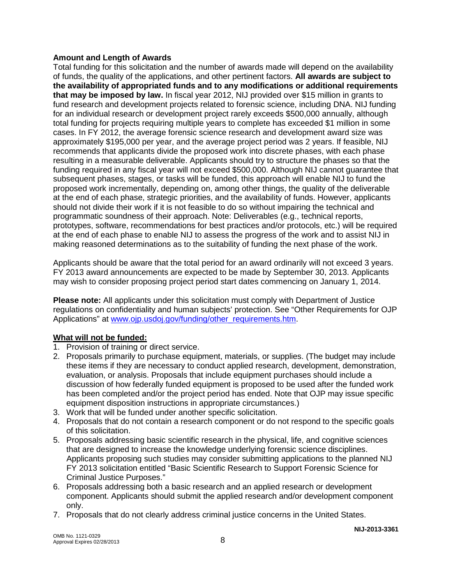#### **Amount and Length of Awards**

Total funding for this solicitation and the number of awards made will depend on the availability of funds, the quality of the applications, and other pertinent factors. **All awards are subject to the availability of appropriated funds and to any modifications or additional requirements that may be imposed by law.** In fiscal year 2012, NIJ provided over \$15 million in grants to fund research and development projects related to forensic science, including DNA. NIJ funding for an individual research or development project rarely exceeds \$500,000 annually, although total funding for projects requiring multiple years to complete has exceeded \$1 million in some cases. In FY 2012, the average forensic science research and development award size was approximately \$195,000 per year, and the average project period was 2 years. If feasible, NIJ recommends that applicants divide the proposed work into discrete phases, with each phase resulting in a measurable deliverable. Applicants should try to structure the phases so that the funding required in any fiscal year will not exceed \$500,000. Although NIJ cannot guarantee that subsequent phases, stages, or tasks will be funded, this approach will enable NIJ to fund the proposed work incrementally, depending on, among other things, the quality of the deliverable at the end of each phase, strategic priorities, and the availability of funds. However, applicants should not divide their work if it is not feasible to do so without impairing the technical and programmatic soundness of their approach. Note: Deliverables (e.g., technical reports, prototypes, software, recommendations for best practices and/or protocols, etc.) will be required at the end of each phase to enable NIJ to assess the progress of the work and to assist NIJ in making reasoned determinations as to the suitability of funding the next phase of the work.

Applicants should be aware that the total period for an award ordinarily will not exceed 3 years. FY 2013 award announcements are expected to be made by September 30, 2013. Applicants may wish to consider proposing project period start dates commencing on January 1, 2014.

**Please note:** All applicants under this solicitation must comply with Department of Justice regulations on confidentiality and human subjects' protection. See "Other Requirements for OJP Applications" at [www.ojp.usdoj.gov/funding/other\\_requirements.htm.](http://www.ojp.usdoj.gov/funding/other_requirements.htm)

#### **What will not be funded:**

- 1. Provision of training or direct service.
- 2. Proposals primarily to purchase equipment, materials, or supplies. (The budget may include these items if they are necessary to conduct applied research, development, demonstration, evaluation, or analysis. Proposals that include equipment purchases should include a discussion of how federally funded equipment is proposed to be used after the funded work has been completed and/or the project period has ended. Note that OJP may issue specific equipment disposition instructions in appropriate circumstances.)
- 3. Work that will be funded under another specific solicitation.
- 4. Proposals that do not contain a research component or do not respond to the specific goals of this solicitation.
- 5. Proposals addressing basic scientific research in the physical, life, and cognitive sciences that are designed to increase the knowledge underlying forensic science disciplines. Applicants proposing such studies may consider submitting applications to the planned NIJ FY 2013 solicitation entitled "Basic Scientific Research to Support Forensic Science for Criminal Justice Purposes."
- 6. Proposals addressing both a basic research and an applied research or development component. Applicants should submit the applied research and/or development component only.
- 7. Proposals that do not clearly address criminal justice concerns in the United States.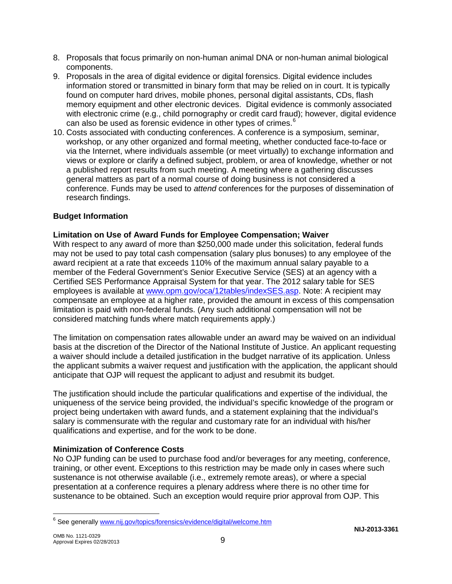- 8. Proposals that focus primarily on non-human animal DNA or non-human animal biological components.
- 9. Proposals in the area of digital evidence or digital forensics. Digital evidence includes information stored or transmitted in binary form that may be relied on in court. It is typically found on computer hard drives, mobile phones, personal digital assistants, CDs, flash memory equipment and other electronic devices. Digital evidence is commonly associated with electronic crime (e.g., child pornography or credit card fraud); however, digital evidence can also be used as forensic evidence in other types of crimes.<sup>[6](#page-8-0)</sup>
- 10. Costs associated with conducting conferences. A conference is a symposium, seminar, workshop, or any other organized and formal meeting, whether conducted face-to-face or via the Internet, where individuals assemble (or meet virtually) to exchange information and views or explore or clarify a defined subject, problem, or area of knowledge, whether or not a published report results from such meeting. A meeting where a gathering discusses general matters as part of a normal course of doing business is not considered a conference. Funds may be used to *attend* conferences for the purposes of dissemination of research findings.

#### **Budget Information**

#### **Limitation on Use of Award Funds for Employee Compensation; Waiver**

With respect to any award of more than \$250,000 made under this solicitation, federal funds may not be used to pay total cash compensation (salary plus bonuses) to any employee of the award recipient at a rate that exceeds 110% of the maximum annual salary payable to a member of the Federal Government's Senior Executive Service (SES) at an agency with a Certified SES Performance Appraisal System for that year. The 2012 salary table for SES employees is available at [www.opm.gov/oca/12tables/indexSES.asp.](http://www.opm.gov/oca/12tables/indexSES.asp) Note: A recipient may compensate an employee at a higher rate, provided the amount in excess of this compensation limitation is paid with non-federal funds. (Any such additional compensation will not be considered matching funds where match requirements apply.)

The limitation on compensation rates allowable under an award may be waived on an individual basis at the discretion of the Director of the National Institute of Justice. An applicant requesting a waiver should include a detailed justification in the budget narrative of its application. Unless the applicant submits a waiver request and justification with the application, the applicant should anticipate that OJP will request the applicant to adjust and resubmit its budget.

The justification should include the particular qualifications and expertise of the individual, the uniqueness of the service being provided, the individual's specific knowledge of the program or project being undertaken with award funds, and a statement explaining that the individual's salary is commensurate with the regular and customary rate for an individual with his/her qualifications and expertise, and for the work to be done.

#### **Minimization of Conference Costs**

No OJP funding can be used to purchase food and/or beverages for any meeting, conference, training, or other event. Exceptions to this restriction may be made only in cases where such sustenance is not otherwise available (i.e., extremely remote areas), or where a special presentation at a conference requires a plenary address where there is no other time for sustenance to be obtained. Such an exception would require prior approval from OJP. This

<span id="page-8-0"></span><sup>&</sup>lt;sup>6</sup> See generall[y www.nij.gov/topics/forensics/evidence/digital/welcome.htm](http://www.nij.gov/topics/forensics/evidence/digital/welcome.htm)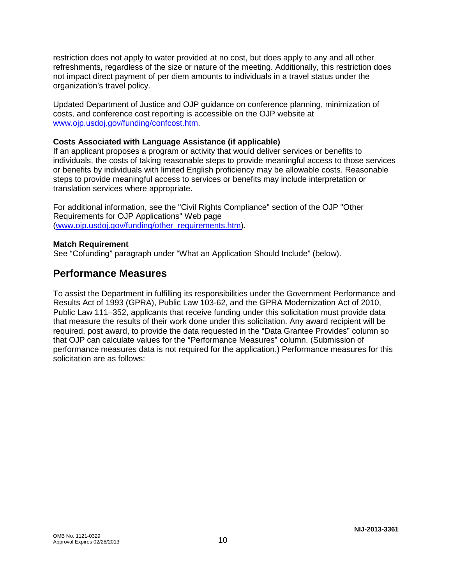restriction does not apply to water provided at no cost, but does apply to any and all other refreshments, regardless of the size or nature of the meeting. Additionally, this restriction does not impact direct payment of per diem amounts to individuals in a travel status under the organization's travel policy.

Updated Department of Justice and OJP guidance on conference planning, minimization of costs, and conference cost reporting is accessible on the OJP website at [www.ojp.usdoj.gov/funding/confcost.htm.](http://www.ojp.usdoj.gov/funding/confcost.htm)

#### **Costs Associated with Language Assistance (if applicable)**

If an applicant proposes a program or activity that would deliver services or benefits to individuals, the costs of taking reasonable steps to provide meaningful access to those services or benefits by individuals with limited English proficiency may be allowable costs. Reasonable steps to provide meaningful access to services or benefits may include interpretation or translation services where appropriate.

For additional information, see the "Civil Rights Compliance" section of the OJP "Other Requirements for OJP Applications" Web page [\(www.ojp.usdoj.gov/funding/other\\_requirements.htm\)](http://www.ojp.usdoj.gov/funding/other_requirements.htm).

#### **Match Requirement**

See "Cofunding" paragraph under "What an Application Should Include" (below).

#### **Performance Measures**

To assist the Department in fulfilling its responsibilities under the Government Performance and Results Act of 1993 (GPRA), Public Law 103-62, and the GPRA Modernization Act of 2010, Public Law 111–352, applicants that receive funding under this solicitation must provide data that measure the results of their work done under this solicitation. Any award recipient will be required, post award, to provide the data requested in the "Data Grantee Provides" column so that OJP can calculate values for the "Performance Measures" column. (Submission of performance measures data is not required for the application.) Performance measures for this solicitation are as follows: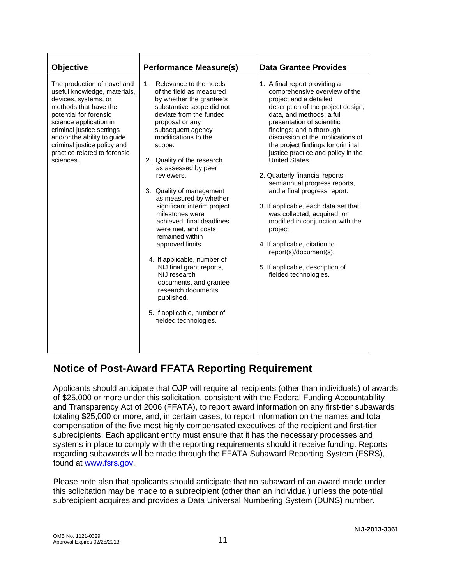| <b>Objective</b>                                                                                                                                                                                                                                                                                         | <b>Performance Measure(s)</b>                                                                                                                                                                                                                                                                                                                                                                                                                                                                                                                                                                                                                                                                 | <b>Data Grantee Provides</b>                                                                                                                                                                                                                                                                                                                                                                                                                                                                                                                                                                                                                                                                              |
|----------------------------------------------------------------------------------------------------------------------------------------------------------------------------------------------------------------------------------------------------------------------------------------------------------|-----------------------------------------------------------------------------------------------------------------------------------------------------------------------------------------------------------------------------------------------------------------------------------------------------------------------------------------------------------------------------------------------------------------------------------------------------------------------------------------------------------------------------------------------------------------------------------------------------------------------------------------------------------------------------------------------|-----------------------------------------------------------------------------------------------------------------------------------------------------------------------------------------------------------------------------------------------------------------------------------------------------------------------------------------------------------------------------------------------------------------------------------------------------------------------------------------------------------------------------------------------------------------------------------------------------------------------------------------------------------------------------------------------------------|
| The production of novel and<br>useful knowledge, materials,<br>devices, systems, or<br>methods that have the<br>potential for forensic<br>science application in<br>criminal justice settings<br>and/or the ability to guide<br>criminal justice policy and<br>practice related to forensic<br>sciences. | Relevance to the needs<br>1.<br>of the field as measured<br>by whether the grantee's<br>substantive scope did not<br>deviate from the funded<br>proposal or any<br>subsequent agency<br>modifications to the<br>scope.<br>2. Quality of the research<br>as assessed by peer<br>reviewers.<br>3. Quality of management<br>as measured by whether<br>significant interim project<br>milestones were<br>achieved, final deadlines<br>were met, and costs<br>remained within<br>approved limits.<br>4. If applicable, number of<br>NIJ final grant reports,<br>NIJ research<br>documents, and grantee<br>research documents<br>published.<br>5. If applicable, number of<br>fielded technologies. | 1. A final report providing a<br>comprehensive overview of the<br>project and a detailed<br>description of the project design,<br>data, and methods; a full<br>presentation of scientific<br>findings; and a thorough<br>discussion of the implications of<br>the project findings for criminal<br>justice practice and policy in the<br>United States.<br>2. Quarterly financial reports,<br>semiannual progress reports,<br>and a final progress report.<br>3. If applicable, each data set that<br>was collected, acquired, or<br>modified in conjunction with the<br>project.<br>4. If applicable, citation to<br>report(s)/document(s).<br>5. If applicable, description of<br>fielded technologies. |

### **Notice of Post-Award FFATA Reporting Requirement**

Applicants should anticipate that OJP will require all recipients (other than individuals) of awards of \$25,000 or more under this solicitation, consistent with the Federal Funding Accountability and Transparency Act of 2006 (FFATA), to report award information on any first-tier subawards totaling \$25,000 or more, and, in certain cases, to report information on the names and total compensation of the five most highly compensated executives of the recipient and first-tier subrecipients. Each applicant entity must ensure that it has the necessary processes and systems in place to comply with the reporting requirements should it receive funding. Reports regarding subawards will be made through the FFATA Subaward Reporting System (FSRS), found at [www.fsrs.gov.](https://www.fsrs.gov/)

Please note also that applicants should anticipate that no subaward of an award made under this solicitation may be made to a subrecipient (other than an individual) unless the potential subrecipient acquires and provides a Data Universal Numbering System (DUNS) number.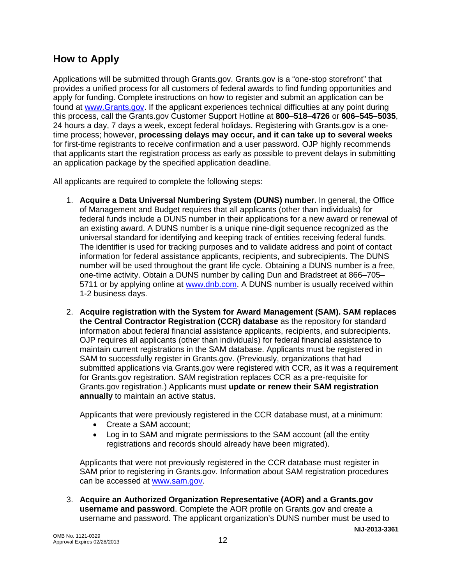### **How to Apply**

Applications will be submitted through Grants.gov. Grants.gov is a "one-stop storefront" that provides a unified process for all customers of federal awards to find funding opportunities and apply for funding. Complete instructions on how to register and submit an application can be found at [www.Grants.gov.](http://www.grants.gov/) If the applicant experiences technical difficulties at any point during this process, call the Grants.gov Customer Support Hotline at **800**–**518**–**4726** or **606–545–5035**, 24 hours a day, 7 days a week, except federal holidays. Registering with Grants.gov is a onetime process; however, **processing delays may occur, and it can take up to several weeks** for first-time registrants to receive confirmation and a user password. OJP highly recommends that applicants start the registration process as early as possible to prevent delays in submitting an application package by the specified application deadline.

All applicants are required to complete the following steps:

- 1. **Acquire a Data Universal Numbering System (DUNS) number.** In general, the Office of Management and Budget requires that all applicants (other than individuals) for federal funds include a DUNS number in their applications for a new award or renewal of an existing award. A DUNS number is a unique nine-digit sequence recognized as the universal standard for identifying and keeping track of entities receiving federal funds. The identifier is used for tracking purposes and to validate address and point of contact information for federal assistance applicants, recipients, and subrecipients. The DUNS number will be used throughout the grant life cycle. Obtaining a DUNS number is a free, one-time activity. Obtain a DUNS number by calling Dun and Bradstreet at 866–705– 5711 or by applying online at [www.dnb.com.](http://www.dnb.com/) A DUNS number is usually received within 1-2 business days.
- 2. **Acquire registration with the System for Award Management (SAM). SAM replaces the Central Contractor Registration (CCR) database** as the repository for standard information about federal financial assistance applicants, recipients, and subrecipients. OJP requires all applicants (other than individuals) for federal financial assistance to maintain current registrations in the SAM database. Applicants must be registered in SAM to successfully register in Grants.gov. (Previously, organizations that had submitted applications via Grants.gov were registered with CCR, as it was a requirement for Grants.gov registration. SAM registration replaces CCR as a pre-requisite for Grants.gov registration.) Applicants must **update or renew their SAM registration annually** to maintain an active status.

Applicants that were previously registered in the CCR database must, at a minimum:

- Create a SAM account;
- Log in to SAM and migrate permissions to the SAM account (all the entity registrations and records should already have been migrated).

Applicants that were not previously registered in the CCR database must register in SAM prior to registering in Grants.gov. Information about SAM registration procedures can be accessed at [www.sam.gov.](https://www.sam.gov/portal/public/SAM/?portal:componentId=1f834b82-3fed-4eb3-a1f8-ea1f226a7955&portal:type=action&interactionstate=JBPNS_rO0ABXc0ABBfanNmQnJpZGdlVmlld0lkAAAAAQATL2pzZi9uYXZpZ2F0aW9uLmpzcAAHX19FT0ZfXw**)

**NIJ-2013-3361** 3. **Acquire an Authorized Organization Representative (AOR) and a Grants.gov username and password**. Complete the AOR profile on Grants.gov and create a username and password. The applicant organization's DUNS number must be used to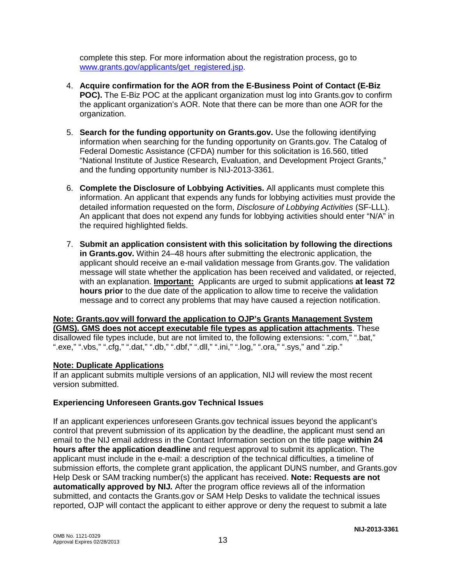complete this step. For more information about the registration process, go to [www.grants.gov/applicants/get\\_registered.jsp.](http://www.grants.gov/applicants/get_registered.jsp)

- 4. **Acquire confirmation for the AOR from the E-Business Point of Contact (E-Biz POC).** The E-Biz POC at the applicant organization must log into Grants.gov to confirm the applicant organization's AOR. Note that there can be more than one AOR for the organization.
- 5. **Search for the funding opportunity on Grants.gov.** Use the following identifying information when searching for the funding opportunity on Grants.gov. The Catalog of Federal Domestic Assistance (CFDA) number for this solicitation is 16.560, titled "National Institute of Justice Research, Evaluation, and Development Project Grants," and the funding opportunity number is NIJ-2013-3361.
- 6. **Complete the Disclosure of Lobbying Activities.** All applicants must complete this information. An applicant that expends any funds for lobbying activities must provide the detailed information requested on the form, *Disclosure of Lobbying Activities* (SF-LLL). An applicant that does not expend any funds for lobbying activities should enter "N/A" in the required highlighted fields.
- 7. **Submit an application consistent with this solicitation by following the directions in Grants.gov.** Within 24–48 hours after submitting the electronic application, the applicant should receive an e-mail validation message from Grants.gov. The validation message will state whether the application has been received and validated, or rejected, with an explanation. **Important:** Applicants are urged to submit applications **at least 72 hours prior** to the due date of the application to allow time to receive the validation message and to correct any problems that may have caused a rejection notification.

**Note: Grants.gov will forward the application to OJP's Grants Management System (GMS). GMS does not accept executable file types as application attachments**. These disallowed file types include, but are not limited to, the following extensions: ".com," ".bat," ".exe," ".vbs," ".cfg," ".dat," ".db," ".dbf," ".dll," ".ini," ".log," ".ora," ".sys," and ".zip."

#### **Note: Duplicate Applications**

If an applicant submits multiple versions of an application, NIJ will review the most recent version submitted.

#### **Experiencing Unforeseen Grants.gov Technical Issues**

If an applicant experiences unforeseen Grants.gov technical issues beyond the applicant's control that prevent submission of its application by the deadline, the applicant must send an email to the NIJ email address in the Contact Information section on the title page **within 24 hours after the application deadline** and request approval to submit its application. The applicant must include in the e-mail: a description of the technical difficulties, a timeline of submission efforts, the complete grant application, the applicant DUNS number, and Grants.gov Help Desk or SAM tracking number(s) the applicant has received. **Note: Requests are not automatically approved by NIJ***.* After the program office reviews all of the information submitted, and contacts the Grants.gov or SAM Help Desks to validate the technical issues reported, OJP will contact the applicant to either approve or deny the request to submit a late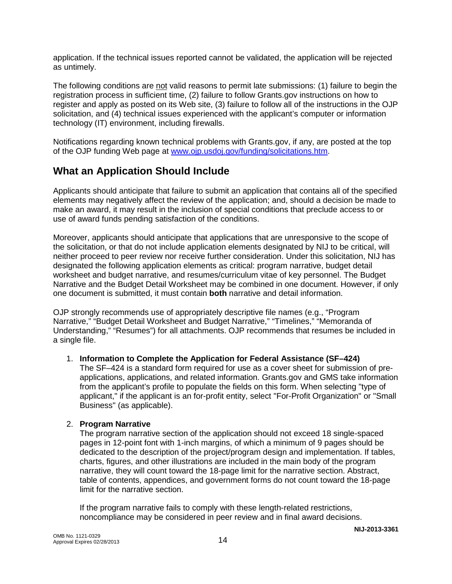application. If the technical issues reported cannot be validated, the application will be rejected as untimely.

The following conditions are not valid reasons to permit late submissions: (1) failure to begin the registration process in sufficient time, (2) failure to follow Grants.gov instructions on how to register and apply as posted on its Web site, (3) failure to follow all of the instructions in the OJP solicitation, and (4) technical issues experienced with the applicant's computer or information technology (IT) environment, including firewalls.

Notifications regarding known technical problems with Grants.gov, if any, are posted at the top of the OJP funding Web page at [www.ojp.usdoj.gov/funding/solicitations.htm.](http://www.ojp.usdoj.gov/funding/solicitations.htm)

### **What an Application Should Include**

Applicants should anticipate that failure to submit an application that contains all of the specified elements may negatively affect the review of the application; and, should a decision be made to make an award, it may result in the inclusion of special conditions that preclude access to or use of award funds pending satisfaction of the conditions.

Moreover, applicants should anticipate that applications that are unresponsive to the scope of the solicitation, or that do not include application elements designated by NIJ to be critical, will neither proceed to peer review nor receive further consideration. Under this solicitation, NIJ has designated the following application elements as critical: program narrative, budget detail worksheet and budget narrative, and resumes/curriculum vitae of key personnel. The Budget Narrative and the Budget Detail Worksheet may be combined in one document. However, if only one document is submitted, it must contain **both** narrative and detail information.

OJP strongly recommends use of appropriately descriptive file names (e.g., "Program Narrative," "Budget Detail Worksheet and Budget Narrative," "Timelines," "Memoranda of Understanding," "Resumes") for all attachments. OJP recommends that resumes be included in a single file.

#### 1. **Information to Complete the Application for Federal Assistance (SF–424)**

The SF–424 is a standard form required for use as a cover sheet for submission of preapplications, applications, and related information. Grants.gov and GMS take information from the applicant's profile to populate the fields on this form. When selecting "type of applicant," if the applicant is an for-profit entity, select "For-Profit Organization" or "Small Business" (as applicable).

#### 2. **Program Narrative**

The program narrative section of the application should not exceed 18 single-spaced pages in 12-point font with 1-inch margins, of which a minimum of 9 pages should be dedicated to the description of the project/program design and implementation. If tables, charts, figures, and other illustrations are included in the main body of the program narrative, they will count toward the 18-page limit for the narrative section. Abstract, table of contents, appendices, and government forms do not count toward the 18-page limit for the narrative section.

If the program narrative fails to comply with these length-related restrictions, noncompliance may be considered in peer review and in final award decisions.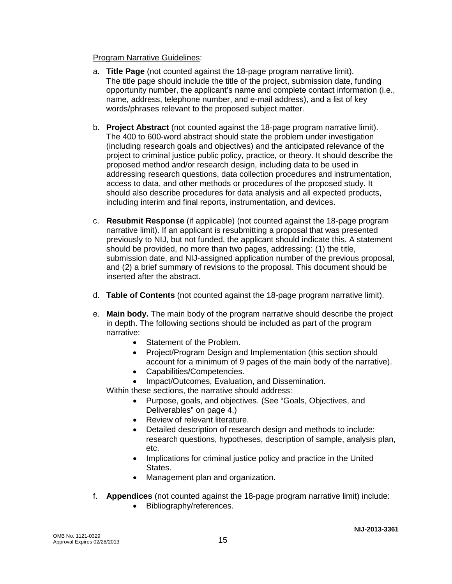#### Program Narrative Guidelines:

- a. **Title Page** (not counted against the 18-page program narrative limit). The title page should include the title of the project, submission date, funding opportunity number, the applicant's name and complete contact information (i.e., name, address, telephone number, and e-mail address), and a list of key words/phrases relevant to the proposed subject matter.
- b. **Project Abstract** (not counted against the 18-page program narrative limit). The 400 to 600-word abstract should state the problem under investigation (including research goals and objectives) and the anticipated relevance of the project to criminal justice public policy, practice, or theory. It should describe the proposed method and/or research design, including data to be used in addressing research questions, data collection procedures and instrumentation, access to data, and other methods or procedures of the proposed study. It should also describe procedures for data analysis and all expected products, including interim and final reports, instrumentation, and devices.
- c. **Resubmit Response** (if applicable) (not counted against the 18-page program narrative limit). If an applicant is resubmitting a proposal that was presented previously to NIJ, but not funded, the applicant should indicate this. A statement should be provided, no more than two pages, addressing: (1) the title, submission date, and NIJ-assigned application number of the previous proposal, and (2) a brief summary of revisions to the proposal. This document should be inserted after the abstract.
- d. **Table of Contents** (not counted against the 18-page program narrative limit).
- e. **Main body.** The main body of the program narrative should describe the project in depth. The following sections should be included as part of the program narrative:
	- Statement of the Problem.
	- Project/Program Design and Implementation (this section should account for a minimum of 9 pages of the main body of the narrative).
	- Capabilities/Competencies.
	- Impact/Outcomes, Evaluation, and Dissemination.

Within these sections, the narrative should address:

- Purpose, goals, and objectives. (See "Goals, Objectives, and Deliverables" on page 4.)
- Review of relevant literature.
- Detailed description of research design and methods to include: research questions, hypotheses, description of sample, analysis plan, etc.
- Implications for criminal justice policy and practice in the United States.
- Management plan and organization.
- f. **Appendices** (not counted against the 18-page program narrative limit) include:
	- Bibliography/references.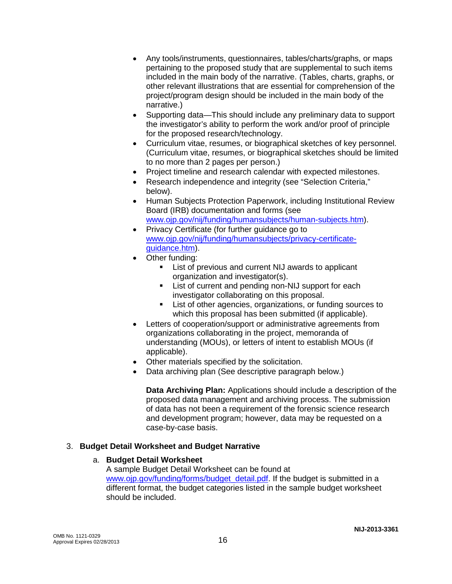- Any tools/instruments, questionnaires, tables/charts/graphs, or maps pertaining to the proposed study that are supplemental to such items included in the main body of the narrative. (Tables, charts, graphs, or other relevant illustrations that are essential for comprehension of the project/program design should be included in the main body of the narrative.)
- Supporting data—This should include any preliminary data to support the investigator's ability to perform the work and/or proof of principle for the proposed research/technology.
- Curriculum vitae, resumes, or biographical sketches of key personnel. (Curriculum vitae, resumes, or biographical sketches should be limited to no more than 2 pages per person.)
- Project timeline and research calendar with expected milestones.
- Research independence and integrity (see "Selection Criteria," below).
- Human Subjects Protection Paperwork, including Institutional Review Board (IRB) documentation and forms (see [www.ojp.gov/nij/funding/humansubjects/human-subjects.htm\)](http://www.ojp.gov/nij/funding/humansubjects/human-subjects.htm).
- Privacy Certificate (for further guidance go to [www.ojp.gov/nij/funding/humansubjects/privacy-certificate](http://www.ojp.gov/nij/funding/humansubjects/privacy-certificate-guidance.htm)[guidance.htm\)](http://www.ojp.gov/nij/funding/humansubjects/privacy-certificate-guidance.htm).
- Other funding:
	- **EXECT:** List of previous and current NIJ awards to applicant organization and investigator(s).
	- **EXECUTE:** List of current and pending non-NIJ support for each investigator collaborating on this proposal.
	- **EXECT:** List of other agencies, organizations, or funding sources to which this proposal has been submitted (if applicable).
- Letters of cooperation/support or administrative agreements from organizations collaborating in the project, memoranda of understanding (MOUs), or letters of intent to establish MOUs (if applicable).
- Other materials specified by the solicitation.
- Data archiving plan (See descriptive paragraph below.)

**Data Archiving Plan:** Applications should include a description of the proposed data management and archiving process. The submission of data has not been a requirement of the forensic science research and development program; however, data may be requested on a case-by-case basis.

#### 3. **Budget Detail Worksheet and Budget Narrative**

#### a. **Budget Detail Worksheet**

A sample Budget Detail Worksheet can be found at [www.ojp.gov/funding/forms/budget\\_detail.pdf.](http://www.ojp.gov/funding/forms/budget_detail.pdf) If the budget is submitted in a different format, the budget categories listed in the sample budget worksheet should be included.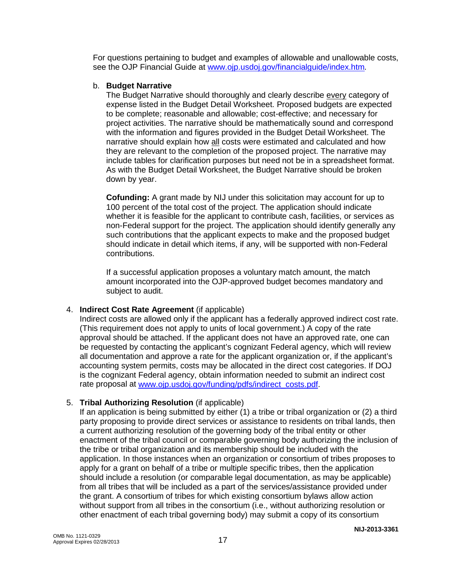For questions pertaining to budget and examples of allowable and unallowable costs, see the OJP Financial Guide at [www.ojp.usdoj.gov/financialguide/index.htm](http://www.ojp.usdoj.gov/financialguide/index.htm)*.*

#### b. **Budget Narrative**

The Budget Narrative should thoroughly and clearly describe every category of expense listed in the Budget Detail Worksheet. Proposed budgets are expected to be complete; reasonable and allowable; cost-effective; and necessary for project activities. The narrative should be mathematically sound and correspond with the information and figures provided in the Budget Detail Worksheet. The narrative should explain how all costs were estimated and calculated and how they are relevant to the completion of the proposed project. The narrative may include tables for clarification purposes but need not be in a spreadsheet format. As with the Budget Detail Worksheet, the Budget Narrative should be broken down by year.

**Cofunding:** A grant made by NIJ under this solicitation may account for up to 100 percent of the total cost of the project. The application should indicate whether it is feasible for the applicant to contribute cash, facilities, or services as non-Federal support for the project. The application should identify generally any such contributions that the applicant expects to make and the proposed budget should indicate in detail which items, if any, will be supported with non-Federal contributions.

If a successful application proposes a voluntary match amount, the match amount incorporated into the OJP-approved budget becomes mandatory and subject to audit.

#### 4. **Indirect Cost Rate Agreement** (if applicable)

Indirect costs are allowed only if the applicant has a federally approved indirect cost rate. (This requirement does not apply to units of local government.) A copy of the rate approval should be attached. If the applicant does not have an approved rate, one can be requested by contacting the applicant's cognizant Federal agency, which will review all documentation and approve a rate for the applicant organization or, if the applicant's accounting system permits, costs may be allocated in the direct cost categories. If DOJ is the cognizant Federal agency, obtain information needed to submit an indirect cost rate proposal at [www.ojp.usdoj.gov/funding/pdfs/indirect\\_costs.pdf.](http://www.ojp.usdoj.gov/funding/pdfs/indirect_costs.pdf)

#### 5. **Tribal Authorizing Resolution** (if applicable)

If an application is being submitted by either (1) a tribe or tribal organization or (2) a third party proposing to provide direct services or assistance to residents on tribal lands, then a current authorizing resolution of the governing body of the tribal entity or other enactment of the tribal council or comparable governing body authorizing the inclusion of the tribe or tribal organization and its membership should be included with the application. In those instances when an organization or consortium of tribes proposes to apply for a grant on behalf of a tribe or multiple specific tribes, then the application should include a resolution (or comparable legal documentation, as may be applicable) from all tribes that will be included as a part of the services/assistance provided under the grant. A consortium of tribes for which existing consortium bylaws allow action without support from all tribes in the consortium (i.e., without authorizing resolution or other enactment of each tribal governing body) may submit a copy of its consortium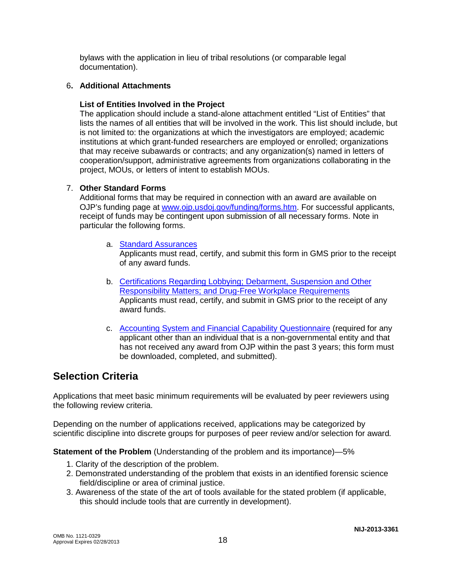bylaws with the application in lieu of tribal resolutions (or comparable legal documentation).

#### 6**. Additional Attachments**

#### **List of Entities Involved in the Project**

The application should include a stand-alone attachment entitled "List of Entities" that lists the names of all entities that will be involved in the work. This list should include, but is not limited to: the organizations at which the investigators are employed; academic institutions at which grant-funded researchers are employed or enrolled; organizations that may receive subawards or contracts; and any organization(s) named in letters of cooperation/support, administrative agreements from organizations collaborating in the project, MOUs, or letters of intent to establish MOUs.

#### 7. **Other Standard Forms**

Additional forms that may be required in connection with an award are available on OJP's funding page at [www.ojp.usdoj.gov/funding/forms.htm.](http://www.ojp.usdoj.gov/funding/forms.htm) For successful applicants, receipt of funds may be contingent upon submission of all necessary forms. Note in particular the following forms.

a. [Standard Assurances](http://www.ojp.usdoj.gov/funding/forms/std_assurances.pdf)

Applicants must read, certify, and submit this form in GMS prior to the receipt of any award funds.

- b. [Certifications Regarding Lobbying; Debarment, Suspension and Other](http://www.ojp.usdoj.gov/funding/forms/certifications.pdf) [Responsibility Matters; and Drug-Free Workplace Requirements](http://www.ojp.usdoj.gov/funding/forms/certifications.pdf) Applicants must read, certify, and submit in GMS prior to the receipt of any award funds.
- c. [Accounting System and Financial Capability Questionnaire](http://www.ojp.usdoj.gov/funding/forms/financial_capability.pdf) (required for any applicant other than an individual that is a non-governmental entity and that has not received any award from OJP within the past 3 years; this form must be downloaded, completed, and submitted).

### **Selection Criteria**

Applications that meet basic minimum requirements will be evaluated by peer reviewers using the following review criteria.

Depending on the number of applications received, applications may be categorized by scientific discipline into discrete groups for purposes of peer review and/or selection for award*.*

**Statement of the Problem** (Understanding of the problem and its importance)—5%

- 1. Clarity of the description of the problem.
- 2. Demonstrated understanding of the problem that exists in an identified forensic science field/discipline or area of criminal justice.
- 3. Awareness of the state of the art of tools available for the stated problem (if applicable, this should include tools that are currently in development).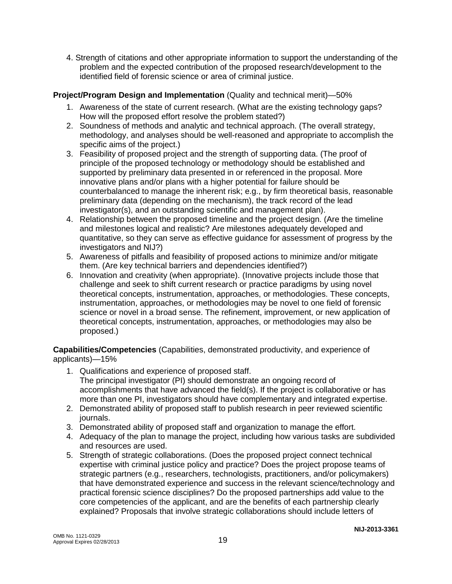4. Strength of citations and other appropriate information to support the understanding of the problem and the expected contribution of the proposed research/development to the identified field of forensic science or area of criminal justice.

#### **Project/Program Design and Implementation** (Quality and technical merit)—50%

- 1. Awareness of the state of current research. (What are the existing technology gaps? How will the proposed effort resolve the problem stated?)
- 2. Soundness of methods and analytic and technical approach. (The overall strategy, methodology, and analyses should be well-reasoned and appropriate to accomplish the specific aims of the project.)
- 3. Feasibility of proposed project and the strength of supporting data. (The proof of principle of the proposed technology or methodology should be established and supported by preliminary data presented in or referenced in the proposal. More innovative plans and/or plans with a higher potential for failure should be counterbalanced to manage the inherent risk; e.g., by firm theoretical basis, reasonable preliminary data (depending on the mechanism), the track record of the lead investigator(s), and an outstanding scientific and management plan).
- 4. Relationship between the proposed timeline and the project design. (Are the timeline and milestones logical and realistic? Are milestones adequately developed and quantitative, so they can serve as effective guidance for assessment of progress by the investigators and NIJ?)
- 5. Awareness of pitfalls and feasibility of proposed actions to minimize and/or mitigate them. (Are key technical barriers and dependencies identified?)
- 6. Innovation and creativity (when appropriate). (Innovative projects include those that challenge and seek to shift current research or practice paradigms by using novel theoretical concepts, instrumentation, approaches, or methodologies. These concepts, instrumentation, approaches, or methodologies may be novel to one field of forensic science or novel in a broad sense. The refinement, improvement, or new application of theoretical concepts, instrumentation, approaches, or methodologies may also be proposed.)

**Capabilities/Competencies** (Capabilities, demonstrated productivity, and experience of applicants)—15%

- 1. Qualifications and experience of proposed staff. The principal investigator (PI) should demonstrate an ongoing record of accomplishments that have advanced the field(s). If the project is collaborative or has more than one PI, investigators should have complementary and integrated expertise.
- 2. Demonstrated ability of proposed staff to publish research in peer reviewed scientific journals.
- 3. Demonstrated ability of proposed staff and organization to manage the effort.
- 4. Adequacy of the plan to manage the project, including how various tasks are subdivided and resources are used.
- 5. Strength of strategic collaborations. (Does the proposed project connect technical expertise with criminal justice policy and practice? Does the project propose teams of strategic partners (e.g., researchers, technologists, practitioners, and/or policymakers) that have demonstrated experience and success in the relevant science/technology and practical forensic science disciplines? Do the proposed partnerships add value to the core competencies of the applicant, and are the benefits of each partnership clearly explained? Proposals that involve strategic collaborations should include letters of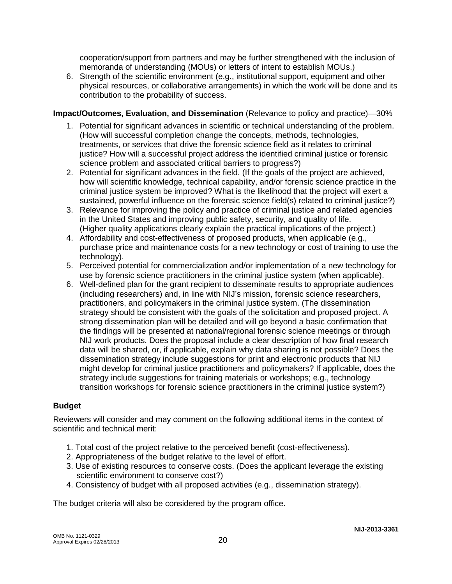cooperation/support from partners and may be further strengthened with the inclusion of memoranda of understanding (MOUs) or letters of intent to establish MOUs.)

6. Strength of the scientific environment (e.g., institutional support, equipment and other physical resources, or collaborative arrangements) in which the work will be done and its contribution to the probability of success.

#### **Impact/Outcomes, Evaluation, and Dissemination** (Relevance to policy and practice)—30%

- 1. Potential for significant advances in scientific or technical understanding of the problem. (How will successful completion change the concepts, methods, technologies, treatments, or services that drive the forensic science field as it relates to criminal justice? How will a successful project address the identified criminal justice or forensic science problem and associated critical barriers to progress?)
- 2. Potential for significant advances in the field. (If the goals of the project are achieved, how will scientific knowledge, technical capability, and/or forensic science practice in the criminal justice system be improved? What is the likelihood that the project will exert a sustained, powerful influence on the forensic science field(s) related to criminal justice?)
- 3. Relevance for improving the policy and practice of criminal justice and related agencies in the United States and improving public safety, security, and quality of life. (Higher quality applications clearly explain the practical implications of the project.)
- 4. Affordability and cost-effectiveness of proposed products, when applicable (e.g., purchase price and maintenance costs for a new technology or cost of training to use the technology).
- 5. Perceived potential for commercialization and/or implementation of a new technology for use by forensic science practitioners in the criminal justice system (when applicable).
- 6. Well-defined plan for the grant recipient to disseminate results to appropriate audiences (including researchers) and, in line with NIJ's mission, forensic science researchers, practitioners, and policymakers in the criminal justice system. (The dissemination strategy should be consistent with the goals of the solicitation and proposed project. A strong dissemination plan will be detailed and will go beyond a basic confirmation that the findings will be presented at national/regional forensic science meetings or through NIJ work products. Does the proposal include a clear description of how final research data will be shared, or, if applicable, explain why data sharing is not possible? Does the dissemination strategy include suggestions for print and electronic products that NIJ might develop for criminal justice practitioners and policymakers? If applicable, does the strategy include suggestions for training materials or workshops; e.g., technology transition workshops for forensic science practitioners in the criminal justice system?)

#### **Budget**

Reviewers will consider and may comment on the following additional items in the context of scientific and technical merit:

- 1. Total cost of the project relative to the perceived benefit (cost-effectiveness).
- 2. Appropriateness of the budget relative to the level of effort.
- 3. Use of existing resources to conserve costs. (Does the applicant leverage the existing scientific environment to conserve cost?)
- 4. Consistency of budget with all proposed activities (e.g., dissemination strategy).

The budget criteria will also be considered by the program office.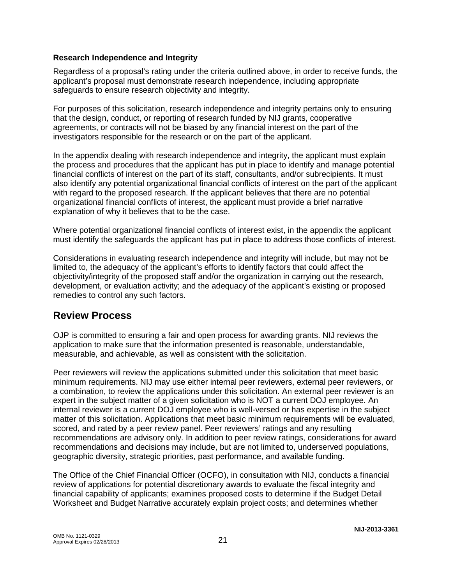#### **Research Independence and Integrity**

Regardless of a proposal's rating under the criteria outlined above, in order to receive funds, the applicant's proposal must demonstrate research independence, including appropriate safeguards to ensure research objectivity and integrity.

For purposes of this solicitation, research independence and integrity pertains only to ensuring that the design, conduct, or reporting of research funded by NIJ grants, cooperative agreements, or contracts will not be biased by any financial interest on the part of the investigators responsible for the research or on the part of the applicant.

In the appendix dealing with research independence and integrity, the applicant must explain the process and procedures that the applicant has put in place to identify and manage potential financial conflicts of interest on the part of its staff, consultants, and/or subrecipients. It must also identify any potential organizational financial conflicts of interest on the part of the applicant with regard to the proposed research. If the applicant believes that there are no potential organizational financial conflicts of interest, the applicant must provide a brief narrative explanation of why it believes that to be the case.

Where potential organizational financial conflicts of interest exist, in the appendix the applicant must identify the safeguards the applicant has put in place to address those conflicts of interest.

Considerations in evaluating research independence and integrity will include, but may not be limited to, the adequacy of the applicant's efforts to identify factors that could affect the objectivity/integrity of the proposed staff and/or the organization in carrying out the research, development, or evaluation activity; and the adequacy of the applicant's existing or proposed remedies to control any such factors.

### **Review Process**

OJP is committed to ensuring a fair and open process for awarding grants. NIJ reviews the application to make sure that the information presented is reasonable, understandable, measurable, and achievable, as well as consistent with the solicitation.

Peer reviewers will review the applications submitted under this solicitation that meet basic minimum requirements. NIJ may use either internal peer reviewers, external peer reviewers, or a combination, to review the applications under this solicitation. An external peer reviewer is an expert in the subject matter of a given solicitation who is NOT a current DOJ employee. An internal reviewer is a current DOJ employee who is well-versed or has expertise in the subject matter of this solicitation. Applications that meet basic minimum requirements will be evaluated, scored, and rated by a peer review panel. Peer reviewers' ratings and any resulting recommendations are advisory only. In addition to peer review ratings, considerations for award recommendations and decisions may include, but are not limited to, underserved populations, geographic diversity, strategic priorities, past performance, and available funding.

The Office of the Chief Financial Officer (OCFO), in consultation with NIJ, conducts a financial review of applications for potential discretionary awards to evaluate the fiscal integrity and financial capability of applicants; examines proposed costs to determine if the Budget Detail Worksheet and Budget Narrative accurately explain project costs; and determines whether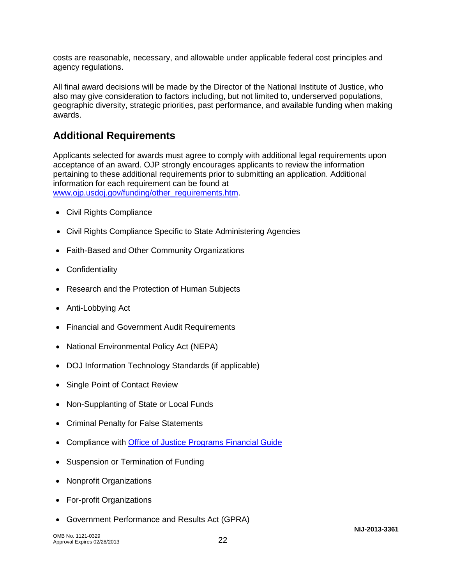costs are reasonable, necessary, and allowable under applicable federal cost principles and agency regulations.

All final award decisions will be made by the Director of the National Institute of Justice, who also may give consideration to factors including, but not limited to, underserved populations, geographic diversity, strategic priorities, past performance, and available funding when making awards.

### **Additional Requirements**

Applicants selected for awards must agree to comply with additional legal requirements upon acceptance of an award. OJP strongly encourages applicants to review the information pertaining to these additional requirements prior to submitting an application. Additional information for each requirement can be found at www.oip.usdoi.gov/funding/other\_requirements.htm.

- [Civil Rights Compliance](http://www.ojp.usdoj.gov/about/ocr/statutes.htm)
- Civil Rights Compliance Specific to State Administering Agencies
- Faith-Based and Other Community Organizations
- Confidentiality
- Research and the Protection of Human Subjects
- Anti-Lobbying Act
- Financial and Government Audit Requirements
- National Environmental Policy Act (NEPA)
- DOJ Information Technology Standards (if applicable)
- Single Point of Contact Review
- Non-Supplanting of State or Local Funds
- Criminal Penalty for False Statements
- Compliance with [Office of Justice Programs Financial Guide](http://www.ojp.usdoj.gov/financialguide/index.htm)
- Suspension or Termination of Funding
- Nonprofit Organizations
- For-profit Organizations
- Government Performance and Results Act (GPRA)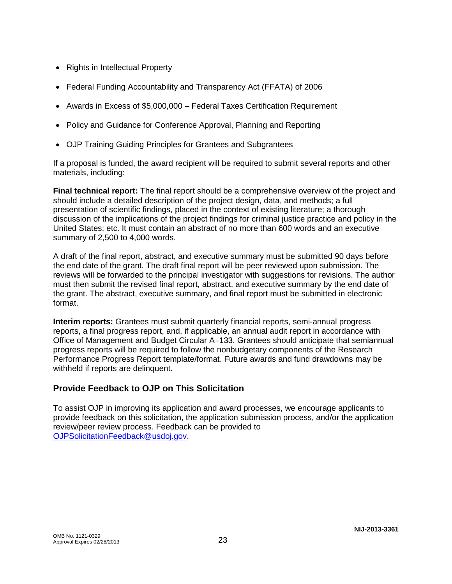- Rights in Intellectual Property
- Federal Funding Accountability and Transparency Act (FFATA) of 2006
- Awards in Excess of \$5,000,000 Federal Taxes Certification Requirement
- Policy and Guidance for Conference Approval, Planning and Reporting
- OJP Training Guiding Principles for Grantees and Subgrantees

If a proposal is funded, the award recipient will be required to submit several reports and other materials, including:

**Final technical report:** The final report should be a comprehensive overview of the project and should include a detailed description of the project design, data, and methods; a full presentation of scientific findings, placed in the context of existing literature; a thorough discussion of the implications of the project findings for criminal justice practice and policy in the United States; etc. It must contain an abstract of no more than 600 words and an executive summary of 2,500 to 4,000 words.

A draft of the final report, abstract, and executive summary must be submitted 90 days before the end date of the grant. The draft final report will be peer reviewed upon submission. The reviews will be forwarded to the principal investigator with suggestions for revisions. The author must then submit the revised final report, abstract, and executive summary by the end date of the grant. The abstract, executive summary, and final report must be submitted in electronic format.

**Interim reports:** Grantees must submit quarterly financial reports, semi-annual progress reports, a final progress report, and, if applicable, an annual audit report in accordance with Office of Management and Budget Circular A–133. Grantees should anticipate that semiannual progress reports will be required to follow the nonbudgetary components of the Research Performance Progress Report template/format. Future awards and fund drawdowns may be withheld if reports are delinquent.

#### **Provide Feedback to OJP on This Solicitation**

To assist OJP in improving its application and award processes, we encourage applicants to provide feedback on this solicitation, the application submission process, and/or the application review/peer review process. Feedback can be provided to [OJPSolicitationFeedback@usdoj.gov.](mailto:OJPSolicitationFeedback@usdoj.gov)